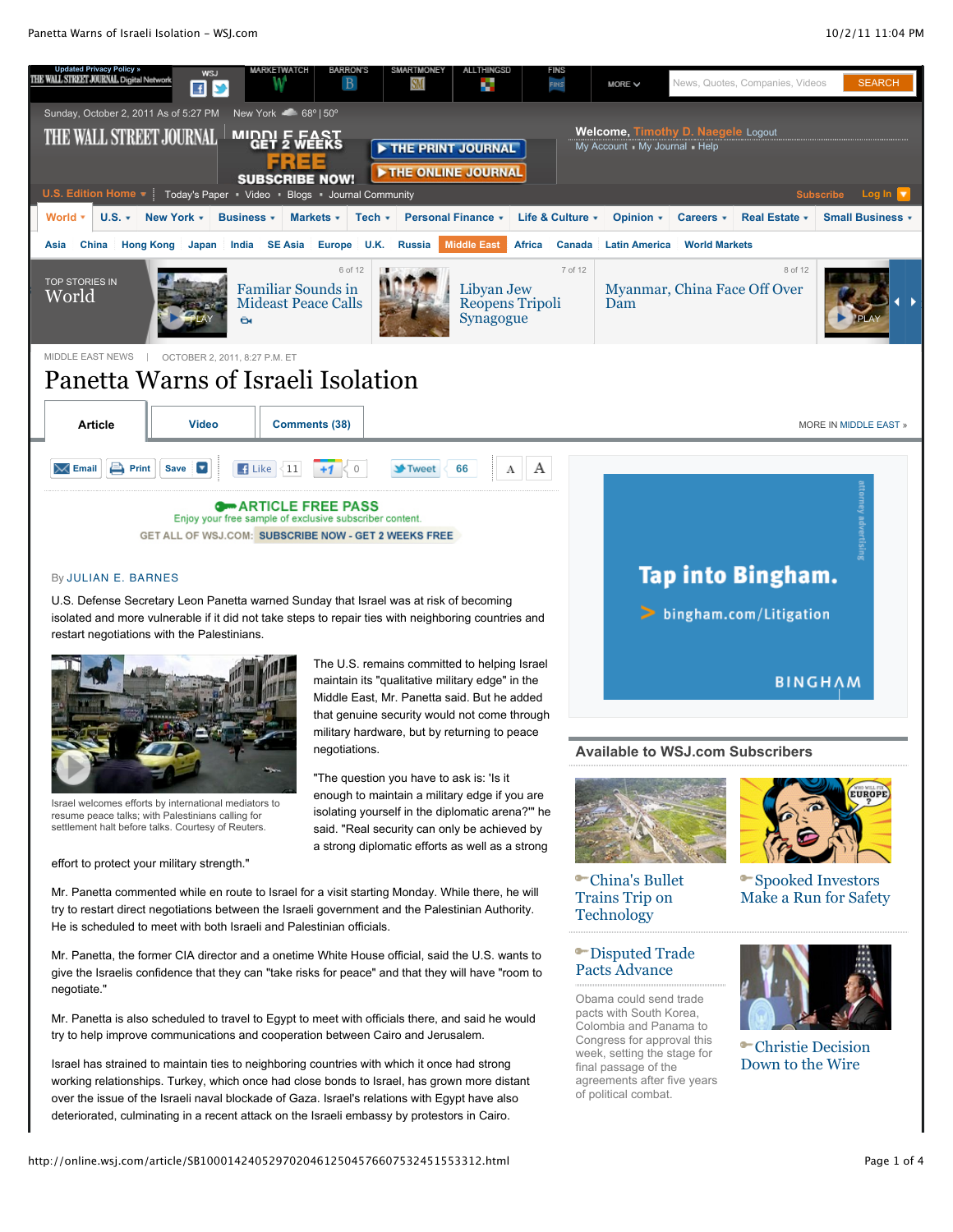

## By JULIAN E. BARNES

U.S. Defense Secretary Leon Panetta warned Sunday that Israel was at risk of becoming isolated and more vulnerable if it did not take steps to repair ties with neighboring countries and restart negotiations with the Palestinians.



Israel welcomes efforts by international mediators to resume peace talks; with Palestinians calling for settlement halt before talks. Courtesy of Reuters.

effort to protect your military strength."

The U.S. remains committed to helping Israel maintain its "qualitative military edge" in the Middle East, Mr. Panetta said. But he added that genuine security would not come through military hardware, but by returning to peace negotiations.

"The question you have to ask is: 'Is it enough to maintain a military edge if you are isolating yourself in the diplomatic arena?'" he said. "Real security can only be achieved by a strong diplomatic efforts as well as a strong

Mr. Panetta commented while en route to Israel for a visit starting Monday. While there, he will try to restart direct negotiations between the Israeli government and the Palestinian Authority. He is scheduled to meet with both Israeli and Palestinian officials.

Mr. Panetta, the former CIA director and a onetime White House official, said the U.S. wants to give the Israelis confidence that they can "take risks for peace" and that they will have "room to negotiate."

Mr. Panetta is also scheduled to travel to Egypt to meet with officials there, and said he would try to help improve communications and cooperation between Cairo and Jerusalem.

Israel has strained to maintain ties to neighboring countries with which it once had strong working relationships. Turkey, which once had close bonds to Israel, has grown more distant over the issue of the Israeli naval blockade of Gaza. Israel's relations with Egypt have also deteriorated, culminating in a recent attack on the Israeli embassy by protestors in Cairo.



## **Available to WSJ.com Subscribers**



China's Bullet Trains Trip on **Technology** 

## Disputed Trade Pacts Advance

Obama could send trade pacts with South Korea, Colombia and Panama to Congress for approval this week, setting the stage for final passage of the agreements after five years of political combat.



Spooked Investors Make a Run for Safety



Christie Decision Down to the Wire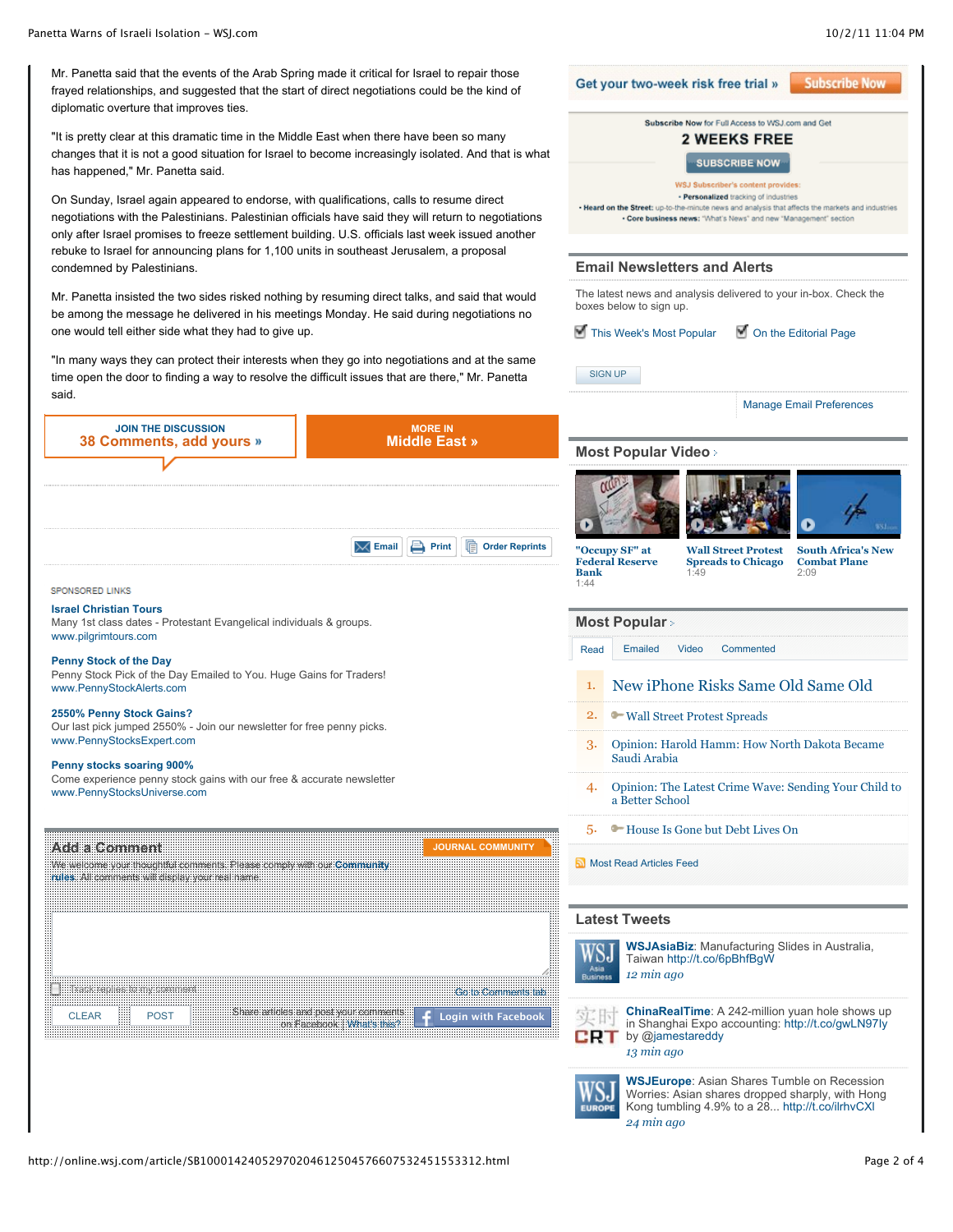**Subscribe Now** 

**Email Newsletters and Alerts**

Get your two-week risk free trial »

The latest news and analysis delivered to your in-box. Check the

Subscribe Now for Full Access to WSJ.com and Get **2 WEEKS FREE SUBSCRIBE NOW WSJ Subscriber's content provides** · Personalized tracking of industries . Heard on the Street: up-to-the-minute news and analysis that affects the markets and industries . Core business news: "What's News" and new "Management" section

Mr. Panetta said that the events of the Arab Spring made it critical for Israel to repair those frayed relationships, and suggested that the start of direct negotiations could be the kind of diplomatic overture that improves ties.

"It is pretty clear at this dramatic time in the Middle East when there have been so many changes that it is not a good situation for Israel to become increasingly isolated. And that is what has happened," Mr. Panetta said.

On Sunday, Israel again appeared to endorse, with qualifications, calls to resume direct negotiations with the Palestinians. Palestinian officials have said they will return to negotiations only after Israel promises to freeze settlement building. U.S. officials last week issued another rebuke to Israel for announcing plans for 1,100 units in southeast Jerusalem, a proposal condemned by Palestinians.

Mr. Panetta insisted the two sides risked nothing by resuming direct talks, and said that would be among the message he delivered in his meetings Monday. He said during negotiations no

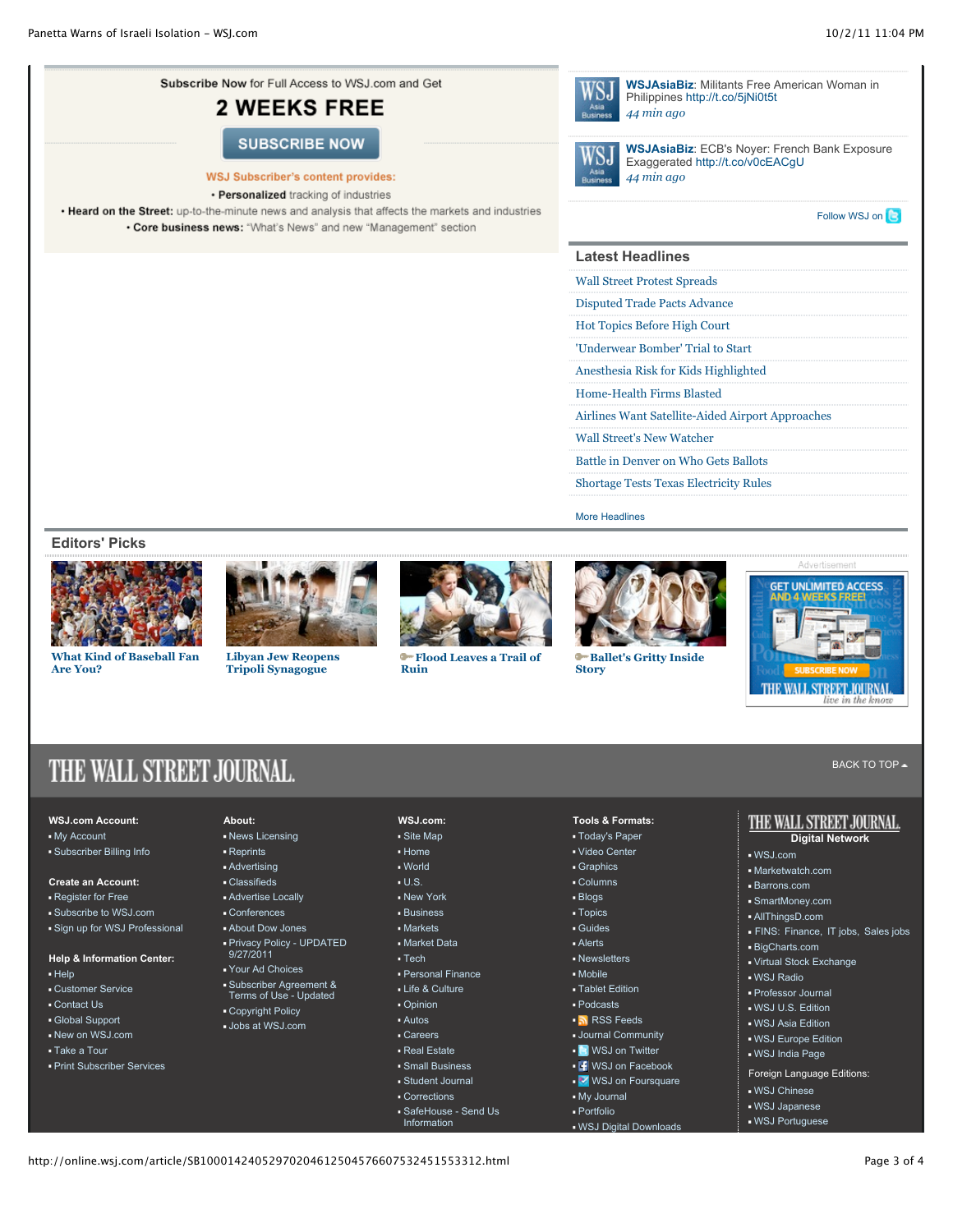

- Help
- Customer Service
- Contact Us
- Global Support
- New on WSJ.com
- Take a Tour
- Print Subscriber Services
- 
- 
- 
- -
- Careers Real Estate
	- Small Business

Personal Finance Life & Culture Opinion Autos

- Student Journal
- Corrections
- SafeHouse Send Us
- Information
- Mobile
- Tablet Edition
- Podcasts
- [RSS Feeds](http://online.wsj.com/rss?mod=WSJ_footer)
- **Journal Community**
- **I** [WSJ on Twitter](http://online.wsj.com/public/page/twitter.html?mod=WSJ_footer)
- **F** [WSJ on Facebook](http://www.facebook.com/wsj)
- **V** [WSJ on Foursquare](http://online.wsj.com/foursquare?mod=WSJ_footer)
- My Journal Portfolio
- WSJ Digital Downloads
- **Virtual Stock Exchange**
- WSJ Radio
- Professor Journal
- WSJ U.S. Edition
- WSJ Asia Edition
- WSJ Europe Edition
- 
- Foreign Language Editions:
- WSJ Chinese
- WSJ Japanese
- WSJ Portuguese
- 
- 
- 
- 
- 
- WSJ India Page
- 
- 
- 
- Your Ad Choices
- 
- 
- 
- Subscriber Agreement & Terms of Use Updated
- Copyright Policy
- Jobs at WSJ.com
-